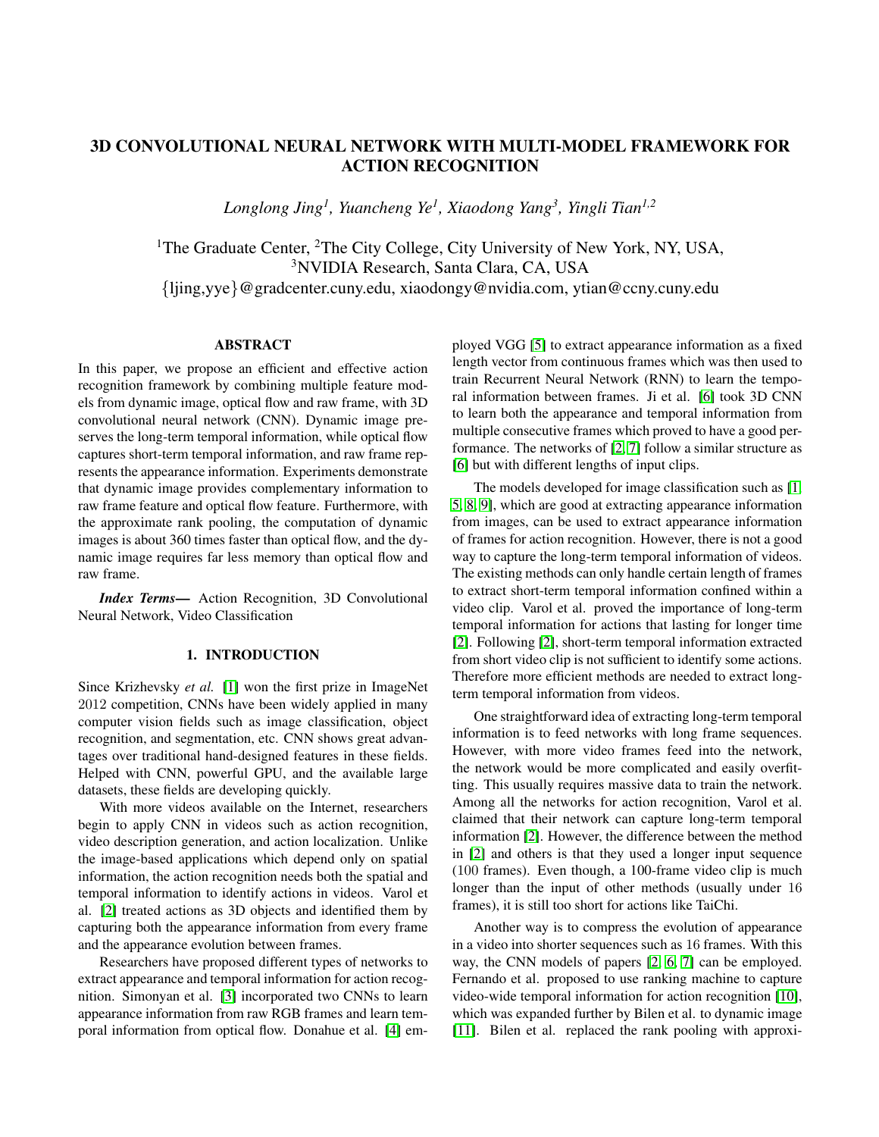# 3D CONVOLUTIONAL NEURAL NETWORK WITH MULTI-MODEL FRAMEWORK FOR ACTION RECOGNITION

*Longlong Jing<sup>1</sup> , Yuancheng Ye<sup>1</sup> , Xiaodong Yang<sup>3</sup> , Yingli Tian1,2*

<sup>1</sup>The Graduate Center,  ${}^{2}$ The City College, City University of New York, NY, USA, <sup>3</sup>NVIDIA Research, Santa Clara, CA, USA {ljing,yye}@gradcenter.cuny.edu, xiaodongy@nvidia.com, ytian@ccny.cuny.edu

### ABSTRACT

In this paper, we propose an efficient and effective action recognition framework by combining multiple feature models from dynamic image, optical flow and raw frame, with 3D convolutional neural network (CNN). Dynamic image preserves the long-term temporal information, while optical flow captures short-term temporal information, and raw frame represents the appearance information. Experiments demonstrate that dynamic image provides complementary information to raw frame feature and optical flow feature. Furthermore, with the approximate rank pooling, the computation of dynamic images is about 360 times faster than optical flow, and the dynamic image requires far less memory than optical flow and raw frame.

*Index Terms*— Action Recognition, 3D Convolutional Neural Network, Video Classification

#### 1. INTRODUCTION

Since Krizhevsky *et al.* [\[1\]](#page-4-0) won the first prize in ImageNet 2012 competition, CNNs have been widely applied in many computer vision fields such as image classification, object recognition, and segmentation, etc. CNN shows great advantages over traditional hand-designed features in these fields. Helped with CNN, powerful GPU, and the available large datasets, these fields are developing quickly.

With more videos available on the Internet, researchers begin to apply CNN in videos such as action recognition, video description generation, and action localization. Unlike the image-based applications which depend only on spatial information, the action recognition needs both the spatial and temporal information to identify actions in videos. Varol et al. [\[2\]](#page-4-1) treated actions as 3D objects and identified them by capturing both the appearance information from every frame and the appearance evolution between frames.

Researchers have proposed different types of networks to extract appearance and temporal information for action recognition. Simonyan et al. [\[3\]](#page-4-2) incorporated two CNNs to learn appearance information from raw RGB frames and learn temporal information from optical flow. Donahue et al. [\[4\]](#page-4-3) employed VGG [\[5\]](#page-4-4) to extract appearance information as a fixed length vector from continuous frames which was then used to train Recurrent Neural Network (RNN) to learn the temporal information between frames. Ji et al. [\[6\]](#page-4-5) took 3D CNN to learn both the appearance and temporal information from multiple consecutive frames which proved to have a good performance. The networks of [\[2,](#page-4-1) [7\]](#page-4-6) follow a similar structure as [\[6\]](#page-4-5) but with different lengths of input clips.

The models developed for image classification such as [\[1,](#page-4-0) [5,](#page-4-4) [8,](#page-4-7) [9\]](#page-4-8), which are good at extracting appearance information from images, can be used to extract appearance information of frames for action recognition. However, there is not a good way to capture the long-term temporal information of videos. The existing methods can only handle certain length of frames to extract short-term temporal information confined within a video clip. Varol et al. proved the importance of long-term temporal information for actions that lasting for longer time [\[2\]](#page-4-1). Following [\[2\]](#page-4-1), short-term temporal information extracted from short video clip is not sufficient to identify some actions. Therefore more efficient methods are needed to extract longterm temporal information from videos.

One straightforward idea of extracting long-term temporal information is to feed networks with long frame sequences. However, with more video frames feed into the network, the network would be more complicated and easily overfitting. This usually requires massive data to train the network. Among all the networks for action recognition, Varol et al. claimed that their network can capture long-term temporal information [\[2\]](#page-4-1). However, the difference between the method in [\[2\]](#page-4-1) and others is that they used a longer input sequence (100 frames). Even though, a 100-frame video clip is much longer than the input of other methods (usually under 16 frames), it is still too short for actions like TaiChi.

Another way is to compress the evolution of appearance in a video into shorter sequences such as 16 frames. With this way, the CNN models of papers [\[2,](#page-4-1) [6,](#page-4-5) [7\]](#page-4-6) can be employed. Fernando et al. proposed to use ranking machine to capture video-wide temporal information for action recognition [\[10\]](#page-4-9), which was expanded further by Bilen et al. to dynamic image [\[11\]](#page-4-10). Bilen et al. replaced the rank pooling with approxi-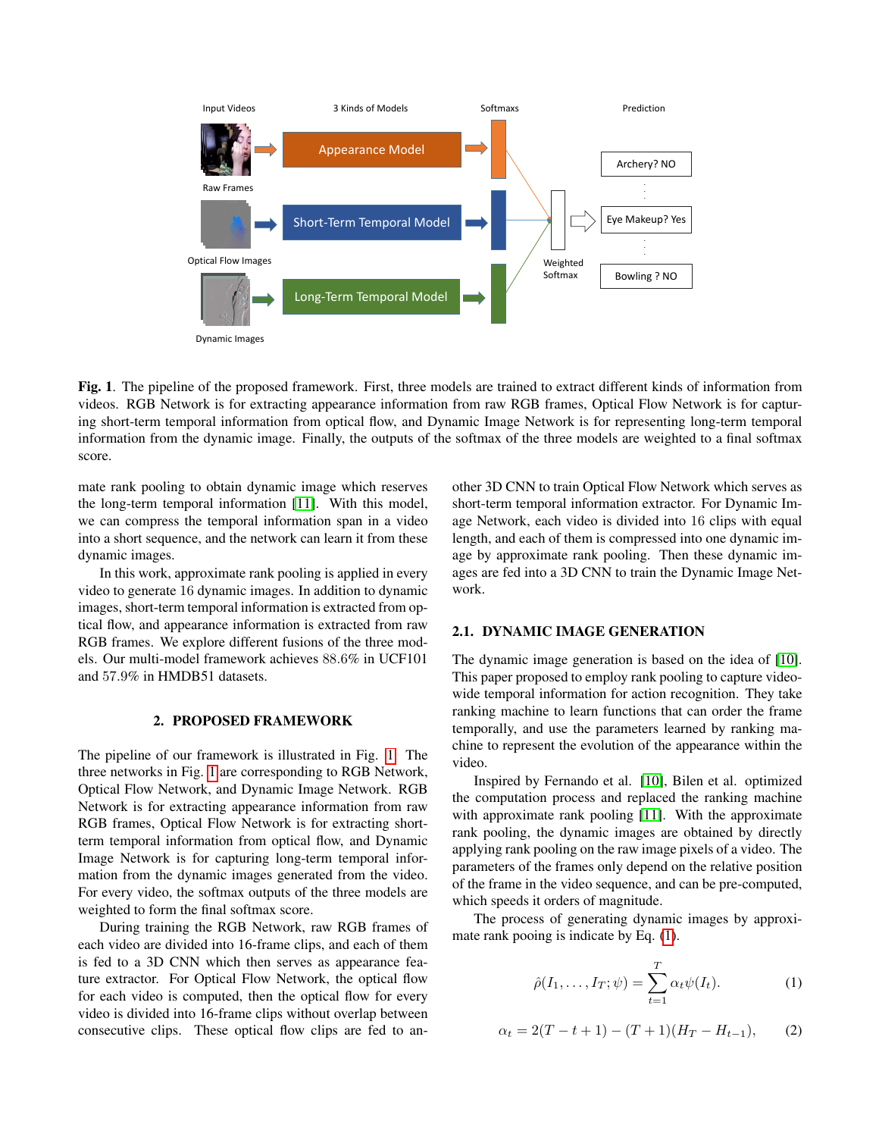

<span id="page-1-0"></span>Fig. 1. The pipeline of the proposed framework. First, three models are trained to extract different kinds of information from videos. RGB Network is for extracting appearance information from raw RGB frames, Optical Flow Network is for capturing short-term temporal information from optical flow, and Dynamic Image Network is for representing long-term temporal information from the dynamic image. Finally, the outputs of the softmax of the three models are weighted to a final softmax score.

mate rank pooling to obtain dynamic image which reserves the long-term temporal information [\[11\]](#page-4-10). With this model, we can compress the temporal information span in a video into a short sequence, and the network can learn it from these dynamic images.

In this work, approximate rank pooling is applied in every video to generate 16 dynamic images. In addition to dynamic images, short-term temporal information is extracted from optical flow, and appearance information is extracted from raw RGB frames. We explore different fusions of the three models. Our multi-model framework achieves 88.6% in UCF101 and 57.9% in HMDB51 datasets.

## 2. PROPOSED FRAMEWORK

The pipeline of our framework is illustrated in Fig. [1.](#page-1-0) The three networks in Fig. [1](#page-1-0) are corresponding to RGB Network, Optical Flow Network, and Dynamic Image Network. RGB Network is for extracting appearance information from raw RGB frames, Optical Flow Network is for extracting shortterm temporal information from optical flow, and Dynamic Image Network is for capturing long-term temporal information from the dynamic images generated from the video. For every video, the softmax outputs of the three models are weighted to form the final softmax score.

During training the RGB Network, raw RGB frames of each video are divided into 16-frame clips, and each of them is fed to a 3D CNN which then serves as appearance feature extractor. For Optical Flow Network, the optical flow for each video is computed, then the optical flow for every video is divided into 16-frame clips without overlap between consecutive clips. These optical flow clips are fed to another 3D CNN to train Optical Flow Network which serves as short-term temporal information extractor. For Dynamic Image Network, each video is divided into 16 clips with equal length, and each of them is compressed into one dynamic image by approximate rank pooling. Then these dynamic images are fed into a 3D CNN to train the Dynamic Image Network.

#### 2.1. DYNAMIC IMAGE GENERATION

The dynamic image generation is based on the idea of [\[10\]](#page-4-9). This paper proposed to employ rank pooling to capture videowide temporal information for action recognition. They take ranking machine to learn functions that can order the frame temporally, and use the parameters learned by ranking machine to represent the evolution of the appearance within the video.

Inspired by Fernando et al. [\[10\]](#page-4-9), Bilen et al. optimized the computation process and replaced the ranking machine with approximate rank pooling [\[11\]](#page-4-10). With the approximate rank pooling, the dynamic images are obtained by directly applying rank pooling on the raw image pixels of a video. The parameters of the frames only depend on the relative position of the frame in the video sequence, and can be pre-computed, which speeds it orders of magnitude.

The process of generating dynamic images by approximate rank pooing is indicate by Eq. [\(1\)](#page-1-1).

<span id="page-1-1"></span>
$$
\hat{\rho}(I_1,\ldots,I_T;\psi) = \sum_{t=1}^T \alpha_t \psi(I_t). \tag{1}
$$

<span id="page-1-2"></span>
$$
\alpha_t = 2(T - t + 1) - (T + 1)(H_T - H_{t-1}), \qquad (2)
$$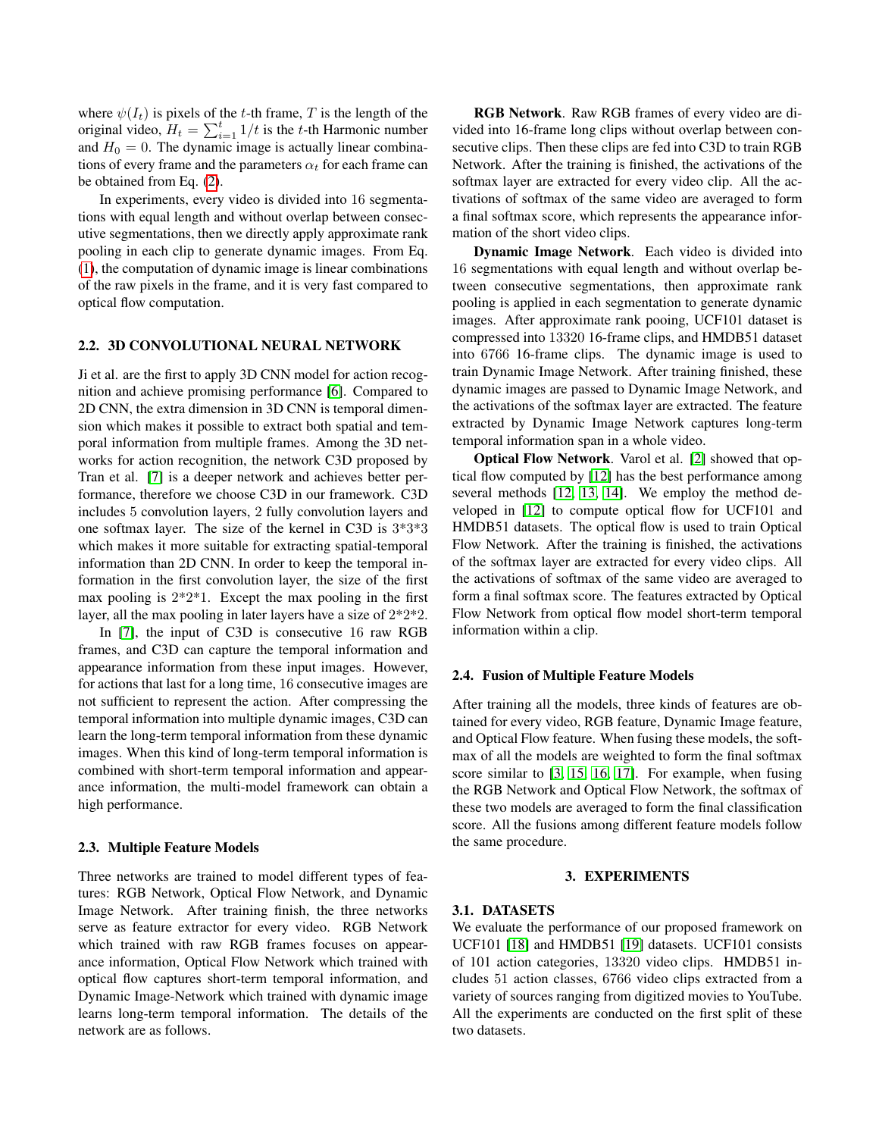where  $\psi(I_t)$  is pixels of the t-th frame, T is the length of the original video,  $H_t = \sum_{i=1}^t 1/t$  is the t-th Harmonic number and  $H_0 = 0$ . The dynamic image is actually linear combinations of every frame and the parameters  $\alpha_t$  for each frame can be obtained from Eq. [\(2\)](#page-1-2).

In experiments, every video is divided into 16 segmentations with equal length and without overlap between consecutive segmentations, then we directly apply approximate rank pooling in each clip to generate dynamic images. From Eq. [\(1\)](#page-1-1), the computation of dynamic image is linear combinations of the raw pixels in the frame, and it is very fast compared to optical flow computation.

## 2.2. 3D CONVOLUTIONAL NEURAL NETWORK

Ji et al. are the first to apply 3D CNN model for action recognition and achieve promising performance [\[6\]](#page-4-5). Compared to 2D CNN, the extra dimension in 3D CNN is temporal dimension which makes it possible to extract both spatial and temporal information from multiple frames. Among the 3D networks for action recognition, the network C3D proposed by Tran et al. [\[7\]](#page-4-6) is a deeper network and achieves better performance, therefore we choose C3D in our framework. C3D includes 5 convolution layers, 2 fully convolution layers and one softmax layer. The size of the kernel in C3D is 3\*3\*3 which makes it more suitable for extracting spatial-temporal information than 2D CNN. In order to keep the temporal information in the first convolution layer, the size of the first max pooling is  $2*2*1$ . Except the max pooling in the first layer, all the max pooling in later layers have a size of 2\*2\*2.

In [\[7\]](#page-4-6), the input of C3D is consecutive 16 raw RGB frames, and C3D can capture the temporal information and appearance information from these input images. However, for actions that last for a long time, 16 consecutive images are not sufficient to represent the action. After compressing the temporal information into multiple dynamic images, C3D can learn the long-term temporal information from these dynamic images. When this kind of long-term temporal information is combined with short-term temporal information and appearance information, the multi-model framework can obtain a high performance.

#### 2.3. Multiple Feature Models

Three networks are trained to model different types of features: RGB Network, Optical Flow Network, and Dynamic Image Network. After training finish, the three networks serve as feature extractor for every video. RGB Network which trained with raw RGB frames focuses on appearance information, Optical Flow Network which trained with optical flow captures short-term temporal information, and Dynamic Image-Network which trained with dynamic image learns long-term temporal information. The details of the network are as follows.

RGB Network. Raw RGB frames of every video are divided into 16-frame long clips without overlap between consecutive clips. Then these clips are fed into C3D to train RGB Network. After the training is finished, the activations of the softmax layer are extracted for every video clip. All the activations of softmax of the same video are averaged to form a final softmax score, which represents the appearance information of the short video clips.

Dynamic Image Network. Each video is divided into 16 segmentations with equal length and without overlap between consecutive segmentations, then approximate rank pooling is applied in each segmentation to generate dynamic images. After approximate rank pooing, UCF101 dataset is compressed into 13320 16-frame clips, and HMDB51 dataset into 6766 16-frame clips. The dynamic image is used to train Dynamic Image Network. After training finished, these dynamic images are passed to Dynamic Image Network, and the activations of the softmax layer are extracted. The feature extracted by Dynamic Image Network captures long-term temporal information span in a whole video.

Optical Flow Network. Varol et al. [\[2\]](#page-4-1) showed that optical flow computed by [\[12\]](#page-4-11) has the best performance among several methods [\[12,](#page-4-11) [13,](#page-4-12) [14\]](#page-4-13). We employ the method developed in [\[12\]](#page-4-11) to compute optical flow for UCF101 and HMDB51 datasets. The optical flow is used to train Optical Flow Network. After the training is finished, the activations of the softmax layer are extracted for every video clips. All the activations of softmax of the same video are averaged to form a final softmax score. The features extracted by Optical Flow Network from optical flow model short-term temporal information within a clip.

#### 2.4. Fusion of Multiple Feature Models

After training all the models, three kinds of features are obtained for every video, RGB feature, Dynamic Image feature, and Optical Flow feature. When fusing these models, the softmax of all the models are weighted to form the final softmax score similar to [\[3,](#page-4-2) [15,](#page-4-14) [16,](#page-4-15) [17\]](#page-4-16). For example, when fusing the RGB Network and Optical Flow Network, the softmax of these two models are averaged to form the final classification score. All the fusions among different feature models follow the same procedure.

## 3. EXPERIMENTS

#### 3.1. DATASETS

We evaluate the performance of our proposed framework on UCF101 [\[18\]](#page-4-17) and HMDB51 [\[19\]](#page-4-18) datasets. UCF101 consists of 101 action categories, 13320 video clips. HMDB51 includes 51 action classes, 6766 video clips extracted from a variety of sources ranging from digitized movies to YouTube. All the experiments are conducted on the first split of these two datasets.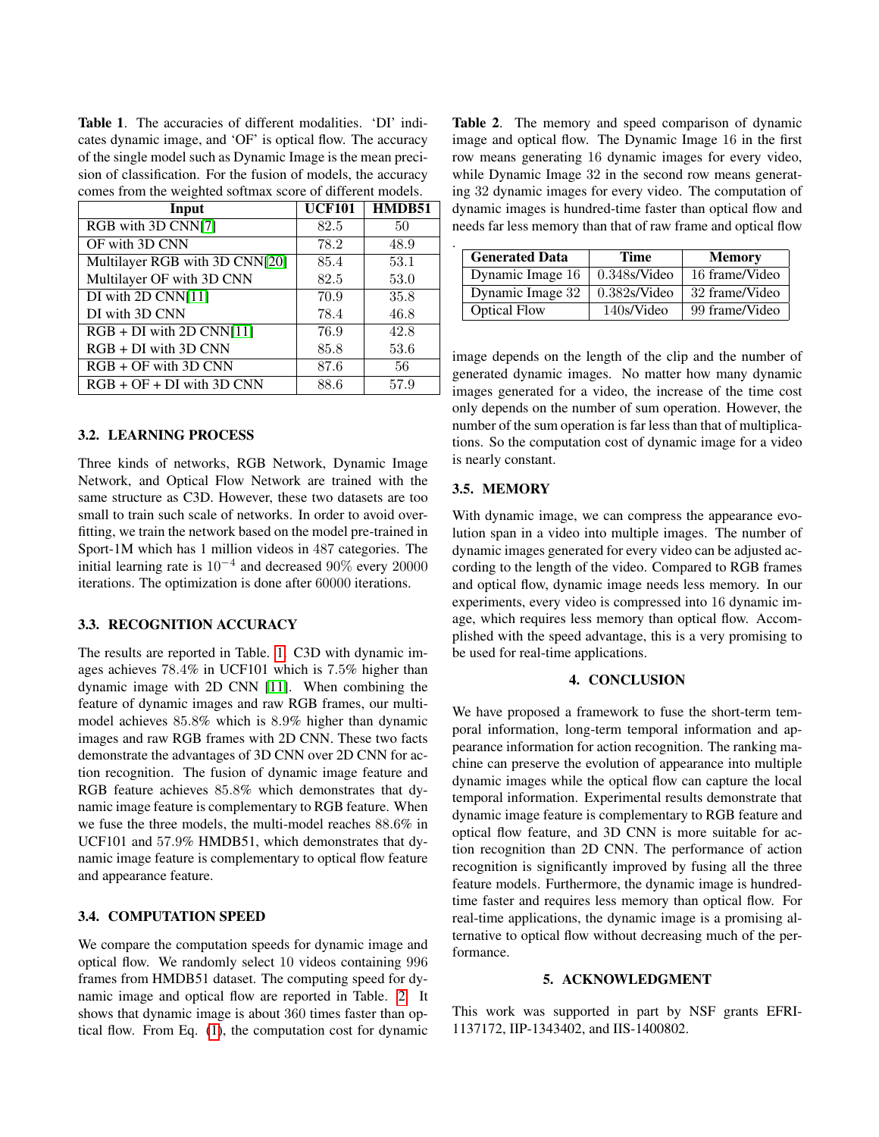<span id="page-3-0"></span>Table 1. The accuracies of different modalities. 'DI' indicates dynamic image, and 'OF' is optical flow. The accuracy of the single model such as Dynamic Image is the mean precision of classification. For the fusion of models, the accuracy comes from the weighted softmax score of different models.

| Input                          | <b>UCF101</b> | HMDB51 |
|--------------------------------|---------------|--------|
| RGB with 3D CNN[7]             | 82.5          | 50     |
| OF with 3D CNN                 | 78.2          | 48.9   |
| Multilayer RGB with 3D CNN[20] | 85.4          | 53.1   |
| Multilayer OF with 3D CNN      | 82.5          | 53.0   |
| DI with 2D CNN[11]             | 70.9          | 35.8   |
| DI with 3D CNN                 | 78.4          | 46.8   |
| $RGB + DI$ with 2D CNN[11]     | 76.9          | 42.8   |
| $RGB + DI$ with 3D CNN         | 85.8          | 53.6   |
| $RGB + OF$ with 3D CNN         | 87.6          | 56     |
| $RGB + OF + DI$ with 3D CNN    | 88.6          | 57.9   |

## 3.2. LEARNING PROCESS

Three kinds of networks, RGB Network, Dynamic Image Network, and Optical Flow Network are trained with the same structure as C3D. However, these two datasets are too small to train such scale of networks. In order to avoid overfitting, we train the network based on the model pre-trained in Sport-1M which has 1 million videos in 487 categories. The initial learning rate is  $10^{-4}$  and decreased  $90\%$  every  $20000$ iterations. The optimization is done after 60000 iterations.

### 3.3. RECOGNITION ACCURACY

The results are reported in Table. [1.](#page-3-0) C3D with dynamic images achieves 78.4% in UCF101 which is 7.5% higher than dynamic image with 2D CNN [\[11\]](#page-4-10). When combining the feature of dynamic images and raw RGB frames, our multimodel achieves 85.8% which is 8.9% higher than dynamic images and raw RGB frames with 2D CNN. These two facts demonstrate the advantages of 3D CNN over 2D CNN for action recognition. The fusion of dynamic image feature and RGB feature achieves 85.8% which demonstrates that dynamic image feature is complementary to RGB feature. When we fuse the three models, the multi-model reaches 88.6% in UCF101 and 57.9% HMDB51, which demonstrates that dynamic image feature is complementary to optical flow feature and appearance feature.

#### 3.4. COMPUTATION SPEED

We compare the computation speeds for dynamic image and optical flow. We randomly select 10 videos containing 996 frames from HMDB51 dataset. The computing speed for dynamic image and optical flow are reported in Table. [2.](#page-3-1) It shows that dynamic image is about 360 times faster than optical flow. From Eq. [\(1\)](#page-1-1), the computation cost for dynamic <span id="page-3-1"></span>Table 2. The memory and speed comparison of dynamic image and optical flow. The Dynamic Image 16 in the first row means generating 16 dynamic images for every video, while Dynamic Image 32 in the second row means generating 32 dynamic images for every video. The computation of dynamic images is hundred-time faster than optical flow and needs far less memory than that of raw frame and optical flow

| <b>Generated Data</b> | <b>Time</b>     | <b>Memory</b>  |
|-----------------------|-----------------|----------------|
| Dynamic Image 16      | $0.348$ s/Video | 16 frame/Video |
| Dynamic Image 32      | 0.382s/Video    | 32 frame/Video |
| <b>Optical Flow</b>   | 140s/Video      | 99 frame/Video |

image depends on the length of the clip and the number of generated dynamic images. No matter how many dynamic images generated for a video, the increase of the time cost only depends on the number of sum operation. However, the number of the sum operation is far less than that of multiplications. So the computation cost of dynamic image for a video is nearly constant.

## 3.5. MEMORY

.

With dynamic image, we can compress the appearance evolution span in a video into multiple images. The number of dynamic images generated for every video can be adjusted according to the length of the video. Compared to RGB frames and optical flow, dynamic image needs less memory. In our experiments, every video is compressed into 16 dynamic image, which requires less memory than optical flow. Accomplished with the speed advantage, this is a very promising to be used for real-time applications.

## 4. CONCLUSION

We have proposed a framework to fuse the short-term temporal information, long-term temporal information and appearance information for action recognition. The ranking machine can preserve the evolution of appearance into multiple dynamic images while the optical flow can capture the local temporal information. Experimental results demonstrate that dynamic image feature is complementary to RGB feature and optical flow feature, and 3D CNN is more suitable for action recognition than 2D CNN. The performance of action recognition is significantly improved by fusing all the three feature models. Furthermore, the dynamic image is hundredtime faster and requires less memory than optical flow. For real-time applications, the dynamic image is a promising alternative to optical flow without decreasing much of the performance.

## 5. ACKNOWLEDGMENT

This work was supported in part by NSF grants EFRI-1137172, IIP-1343402, and IIS-1400802.